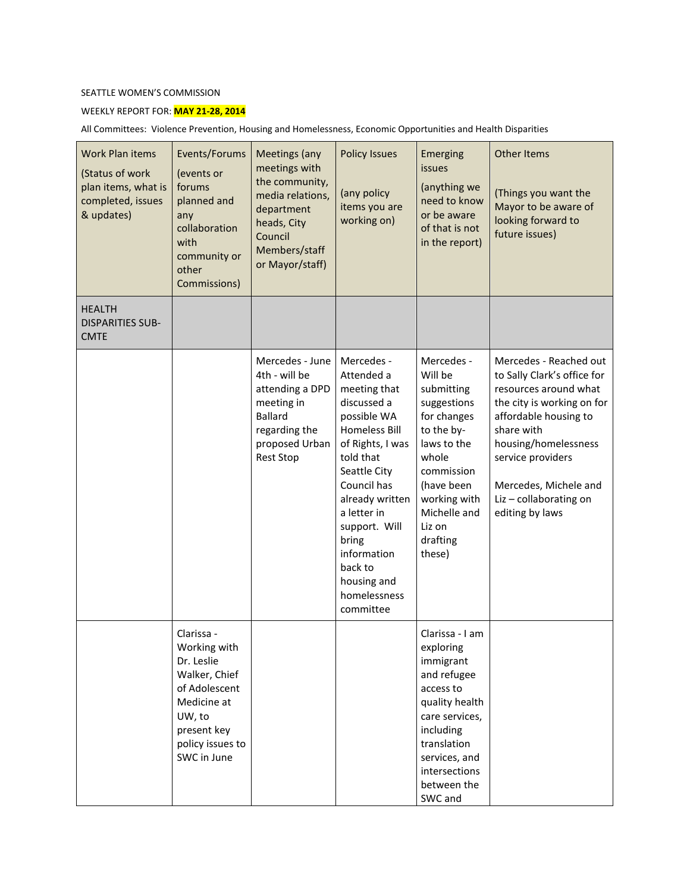## SEATTLE WOMEN'S COMMISSION

## WEEKLY REPORT FOR: **MAY 21-28, 2014**

All Committees: Violence Prevention, Housing and Homelessness, Economic Opportunities and Health Disparities

| <b>Work Plan items</b><br>(Status of work<br>plan items, what is<br>completed, issues<br>& updates) | Events/Forums<br>(events or<br>forums<br>planned and<br>any<br>collaboration<br>with<br>community or<br>other<br>Commissions)                         | Meetings (any<br>meetings with<br>the community,<br>media relations,<br>department<br>heads, City<br>Council<br>Members/staff<br>or Mayor/staff) | <b>Policy Issues</b><br>(any policy<br>items you are<br>working on)                                                                                                                                                                                                                              | Emerging<br>issues<br>(anything we<br>need to know<br>or be aware<br>of that is not<br>in the report)                                                                                               | <b>Other Items</b><br>(Things you want the<br>Mayor to be aware of<br>looking forward to<br>future issues)                                                                                                                                                             |
|-----------------------------------------------------------------------------------------------------|-------------------------------------------------------------------------------------------------------------------------------------------------------|--------------------------------------------------------------------------------------------------------------------------------------------------|--------------------------------------------------------------------------------------------------------------------------------------------------------------------------------------------------------------------------------------------------------------------------------------------------|-----------------------------------------------------------------------------------------------------------------------------------------------------------------------------------------------------|------------------------------------------------------------------------------------------------------------------------------------------------------------------------------------------------------------------------------------------------------------------------|
| <b>HEALTH</b><br><b>DISPARITIES SUB-</b><br><b>CMTE</b>                                             |                                                                                                                                                       |                                                                                                                                                  |                                                                                                                                                                                                                                                                                                  |                                                                                                                                                                                                     |                                                                                                                                                                                                                                                                        |
|                                                                                                     |                                                                                                                                                       | Mercedes - June<br>4th - will be<br>attending a DPD<br>meeting in<br><b>Ballard</b><br>regarding the<br>proposed Urban<br><b>Rest Stop</b>       | Mercedes -<br>Attended a<br>meeting that<br>discussed a<br>possible WA<br><b>Homeless Bill</b><br>of Rights, I was<br>told that<br>Seattle City<br>Council has<br>already written<br>a letter in<br>support. Will<br>bring<br>information<br>back to<br>housing and<br>homelessness<br>committee | Mercedes -<br>Will be<br>submitting<br>suggestions<br>for changes<br>to the by-<br>laws to the<br>whole<br>commission<br>(have been<br>working with<br>Michelle and<br>Liz on<br>drafting<br>these) | Mercedes - Reached out<br>to Sally Clark's office for<br>resources around what<br>the city is working on for<br>affordable housing to<br>share with<br>housing/homelessness<br>service providers<br>Mercedes, Michele and<br>Liz - collaborating on<br>editing by laws |
|                                                                                                     | Clarissa -<br>Working with<br>Dr. Leslie<br>Walker, Chief<br>of Adolescent<br>Medicine at<br>UW, to<br>present key<br>policy issues to<br>SWC in June |                                                                                                                                                  |                                                                                                                                                                                                                                                                                                  | Clarissa - I am<br>exploring<br>immigrant<br>and refugee<br>access to<br>quality health<br>care services,<br>including<br>translation<br>services, and<br>intersections<br>between the<br>SWC and   |                                                                                                                                                                                                                                                                        |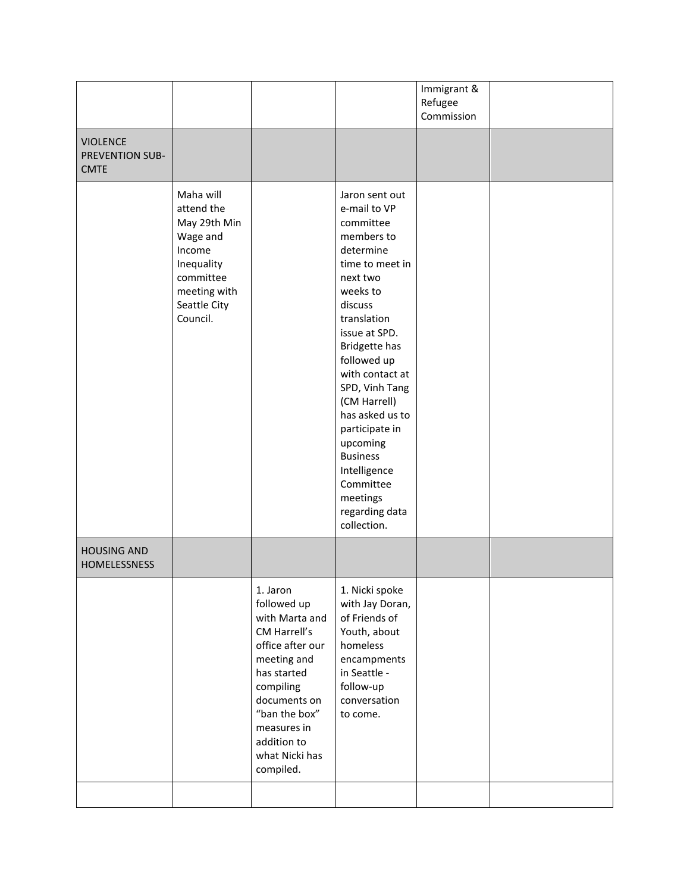| <b>VIOLENCE</b>                           |                                                                                                                                      |                                                                                                                                                                                                                        |                                                                                                                                                                                                                                                                                                                                                                                                 | Immigrant &<br>Refugee<br>Commission |  |
|-------------------------------------------|--------------------------------------------------------------------------------------------------------------------------------------|------------------------------------------------------------------------------------------------------------------------------------------------------------------------------------------------------------------------|-------------------------------------------------------------------------------------------------------------------------------------------------------------------------------------------------------------------------------------------------------------------------------------------------------------------------------------------------------------------------------------------------|--------------------------------------|--|
| PREVENTION SUB-<br><b>CMTE</b>            |                                                                                                                                      |                                                                                                                                                                                                                        |                                                                                                                                                                                                                                                                                                                                                                                                 |                                      |  |
|                                           | Maha will<br>attend the<br>May 29th Min<br>Wage and<br>Income<br>Inequality<br>committee<br>meeting with<br>Seattle City<br>Council. |                                                                                                                                                                                                                        | Jaron sent out<br>e-mail to VP<br>committee<br>members to<br>determine<br>time to meet in<br>next two<br>weeks to<br>discuss<br>translation<br>issue at SPD.<br>Bridgette has<br>followed up<br>with contact at<br>SPD, Vinh Tang<br>(CM Harrell)<br>has asked us to<br>participate in<br>upcoming<br><b>Business</b><br>Intelligence<br>Committee<br>meetings<br>regarding data<br>collection. |                                      |  |
| <b>HOUSING AND</b><br><b>HOMELESSNESS</b> |                                                                                                                                      |                                                                                                                                                                                                                        |                                                                                                                                                                                                                                                                                                                                                                                                 |                                      |  |
|                                           |                                                                                                                                      | 1. Jaron<br>followed up<br>with Marta and<br>CM Harrell's<br>office after our<br>meeting and<br>has started<br>compiling<br>documents on<br>"ban the box"<br>measures in<br>addition to<br>what Nicki has<br>compiled. | 1. Nicki spoke<br>with Jay Doran,<br>of Friends of<br>Youth, about<br>homeless<br>encampments<br>in Seattle -<br>follow-up<br>conversation<br>to come.                                                                                                                                                                                                                                          |                                      |  |
|                                           |                                                                                                                                      |                                                                                                                                                                                                                        |                                                                                                                                                                                                                                                                                                                                                                                                 |                                      |  |